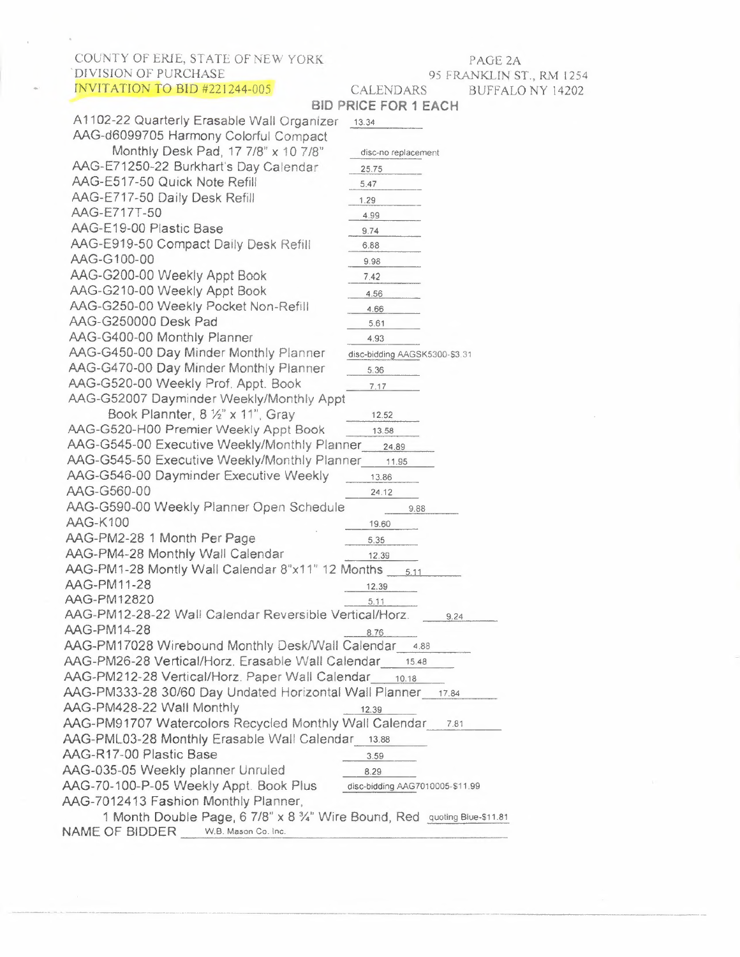COUNTY OF ERIE, STATE OF NEW YORK DIVISION OF PURCHASE INVITATION TO BID 4221244-005

 $\mathcal{A}$ 

## PAGE 2A 95 FRANKLIN ST., RM 1254 CALENDARS BUFFALO NY 14202

|                                                                           | <b>BID PRICE FOR 1 EACH</b>     |  |
|---------------------------------------------------------------------------|---------------------------------|--|
| A1102-22 Quarterly Erasable Wall Organizer                                | 13.34                           |  |
| AAG-d6099705 Harmony Colorful Compact                                     |                                 |  |
| Monthly Desk Pad, 17 7/8" x 10 7/8"                                       | disc-no replacement             |  |
| AAG-E71250-22 Burkhart's Day Calendar                                     | 25.75                           |  |
| AAG-E517-50 Quick Note Refill                                             | 5.47                            |  |
| AAG-E717-50 Daily Desk Refill                                             | 1.29                            |  |
| AAG-E717T-50                                                              | 4.99                            |  |
| AAG-E19-00 Plastic Base                                                   | 9.74                            |  |
| AAG-E919-50 Compact Daily Desk Refill                                     | 6.88                            |  |
| AAG-G100-00                                                               | 9.98                            |  |
| AAG-G200-00 Weekly Appt Book                                              | 7.42                            |  |
| AAG-G210-00 Weekly Appt Book                                              |                                 |  |
| AAG-G250-00 Weekly Pocket Non-Refill                                      | 4.56                            |  |
| AAG-G250000 Desk Pad                                                      | 4.66                            |  |
| AAG-G400-00 Monthly Planner                                               | 5.61                            |  |
| AAG-G450-00 Day Minder Monthly Planner                                    | 4.93                            |  |
| AAG-G470-00 Day Minder Monthly Planner                                    | disc-bidding AAGSK5300-\$3.31   |  |
|                                                                           | 5.36                            |  |
| AAG-G520-00 Weekly Prof. Appt. Book                                       | 7.17                            |  |
| AAG-G52007 Dayminder Weekly/Monthly Appt                                  |                                 |  |
| Book Plannter, 8 1/2" x 11", Gray                                         | 12.52                           |  |
| AAG-G520-H00 Premier Weekly Appt Book                                     | 13.58                           |  |
| AAG-G545-00 Executive Weekly/Monthly Planner 24.89                        |                                 |  |
| AAG-G545-50 Executive Weekly/Monthly Planner 11.95                        |                                 |  |
| AAG-G546-00 Dayminder Executive Weekly                                    | 13.86                           |  |
| AAG-G560-00                                                               | 24.12                           |  |
| AAG-G590-00 Weekly Planner Open Schedule                                  | 9.88                            |  |
| <b>AAG-K100</b>                                                           | 19.60                           |  |
| AAG-PM2-28 1 Month Per Page                                               | 5.35                            |  |
| AAG-PM4-28 Monthly Wall Calendar                                          | 12.39                           |  |
| AAG-PM1-28 Montly Wall Calendar 8"x11" 12 Months                          | 5.11                            |  |
| <b>AAG-PM11-28</b>                                                        | 12.39                           |  |
| AAG-PM12820                                                               | 5.11                            |  |
| AAG-PM12-28-22 Wall Calendar Reversible Vertical/Horz.                    | 9.24                            |  |
| AAG-PM14-28                                                               | 8.76                            |  |
| AAG-PM17028 Wirebound Monthly Desk/Wall Calendar                          | 4.88                            |  |
| AAG-PM26-28 Vertical/Horz. Erasable Wall Calendar 15.48                   |                                 |  |
| AAG-PM212-28 Vertical/Horz. Paper Wall Calendar 10.18                     |                                 |  |
| AAG-PM333-28 30/60 Day Undated Horizontal Wall Planner                    | 17.84                           |  |
| AAG-PM428-22 Wall Monthly                                                 | 12.39                           |  |
| AAG-PM91707 Watercolors Recycled Monthly Wall Calendar                    | 7.81                            |  |
| AAG-PML03-28 Monthly Erasable Wall Calendar 13.88                         |                                 |  |
| AAG-R17-00 Plastic Base                                                   | 3.59                            |  |
| AAG-035-05 Weekly planner Unruled                                         | 8.29                            |  |
| AAG-70-100-P-05 Weekly Appt. Book Plus                                    | disc-bidding AAG7010005-\$11.99 |  |
| AAG-7012413 Fashion Monthly Planner,                                      |                                 |  |
| 1 Month Double Page, 6 7/8" x 8 3/4" Wire Bound, Red quoting Blue-\$11.81 |                                 |  |
| NAME OF BIDDER W.B. Mason Co. Inc.                                        |                                 |  |
|                                                                           |                                 |  |

------- - -------- -··--------------------------------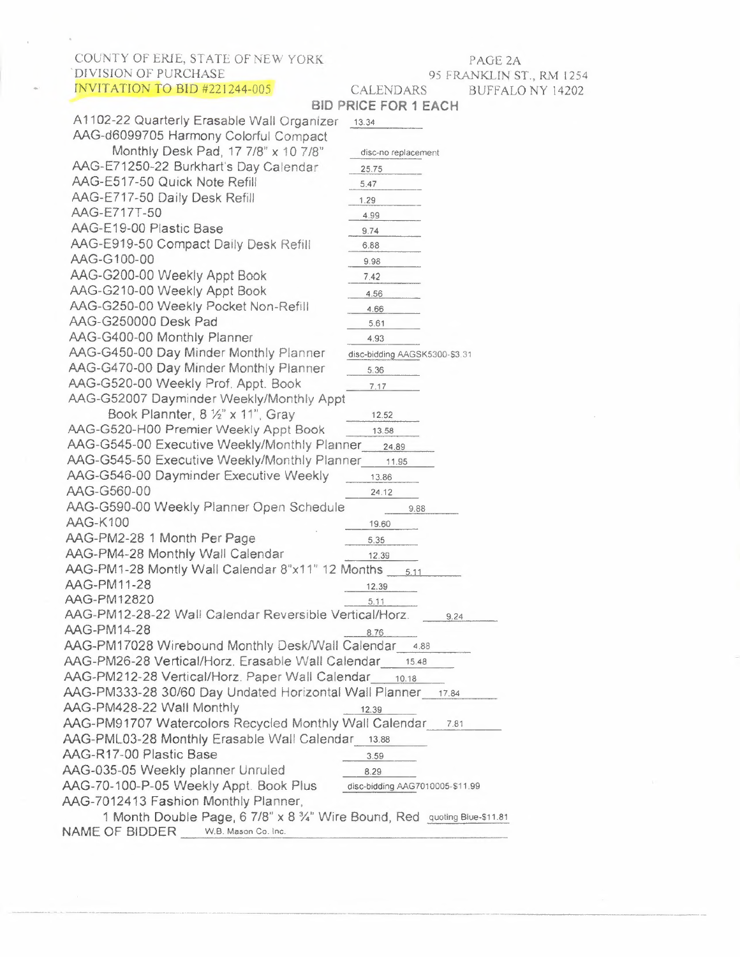COUNTY OF ERIE, STATE OF NEW YORK DIVISION OF PURCHASE

PAGE 2B 95 FRANKLIN ST., RM 1254 CALENDARS BUFFALO NY 14202

### **BID PRICE FOR <sup>1</sup> EACH** INVITATION TO BID #221244-005 AAG-70-260-05 Monthly Planner, 15 Month 87/8" x 11", Unruled Blocks, Black AAG-70-260G05 AAG-70-290-05 11.33 12.91 17.36 AAG-70620605 Plan, Write, Remember Monthly Planner & Notebook 9 1/4" x 11" disc-bidding AAG70620905-\$9.12 AAG-70-865P-05 Weekly Appt. Book Plus disc-bidding AAG7086505-\$13.07 AAG-70-950-05 Weekly Appt. Book/Planner 13 Months, Black 8  $\frac{\cancel{100}}{4}$  x 10 7/8" Black 16.68<br>0-950V-05 AAG-70-950V-05 AAG-70-1111-05 Weekly Mo Small Pocket Diary 10.67 AAG-70-EPO1-05-22 Planner Week!y 25.96 AAG-70-EP04-05 Action Planner Daily Appt. Book 21.50 AAG-76-01-05 Quick Notes 22.73 AAG-76-02-05 Quick Notes Weekly/Monthly Appointment Book  $4\frac{7}{8}$  x  $8$ " Black 12.95

AAG-76-04-05 16.88 AAG-76-06-05 Quick Notes Monthly Planner 17.67 AAG-76-08-05 Quick Notes Monthly Planner 67/8" **x**8%", Black <sup>1407</sup>

| AAG-70-00-00 QUICK NOTES MOTHLIV PIBLINER                                |                                 |  |  |
|--------------------------------------------------------------------------|---------------------------------|--|--|
| 6 7/8" x 8 <sup>3</sup> / <sub>4</sub> ", Black                          | 14.07                           |  |  |
| AAG-865P-05 Weekly Appt. Book                                            | disc-bidding AAG7086505-\$13.07 |  |  |
| AAG-897-01                                                               | 9.94                            |  |  |
| AAG-AW-4010-28 Wallmates Dry Erase Open disc-bidding AAGAW402028-\$7.26  |                                 |  |  |
| AAG-AW-5020-28 Wallmates Dry Erase Open disc-bidding AAGAW503028-\$10.62 |                                 |  |  |
| HOD1506 Recycled Two-Color Monthly Desk Pad Calendar 4.18                |                                 |  |  |
| K1-50 Today is Refill                                                    | 12.44                           |  |  |
| <b>PMLM03-28</b>                                                         | 13.88                           |  |  |
| SD374-22 Daily Bus. Diary                                                | 41.24                           |  |  |
| SD376-22 Daily Diary                                                     | 43.32                           |  |  |
| SD385-22 Daily Diary                                                     | 12.09                           |  |  |
| SD387-22 Standard Diary Daily Reminder                                   | 13.01                           |  |  |
| SD389-22 Daily Diary                                                     | 10.78                           |  |  |
| SK16-22 Monthly Desk/Wall Calendar                                       | 4.72                            |  |  |
| SK22-00 Blot Set                                                         | 14.79                           |  |  |
| SK22-50 Blot Set Refill                                                  | 7.12                            |  |  |
| SK24-00 Desk Blotter 17 x 22                                             | 3.11                            |  |  |
| SK25-22                                                                  | 7.96                            |  |  |
| SK30-00 Desk Blotter 19 x 24                                             | 13.72                           |  |  |
| SK44-00 Daily Appt Book                                                  | 10.80                           |  |  |
| SK48-00                                                                  | 4.41                            |  |  |
| SK200-22 Monthly Planner                                                 | 6.06                            |  |  |
| SK700-22                                                                 | 6.31                            |  |  |
| SK-800 Desk Wall Calendar                                                | 6.34                            |  |  |
| SO200-22                                                                 | 7.58                            |  |  |
| SW-700X0021 Flip a Week                                                  | 12.91                           |  |  |
| SW-705X50 Flip a Week                                                    | 6.54                            |  |  |
| NAME OF BIDDER<br>W.B. Mason Co. Inc.                                    |                                 |  |  |
|                                                                          |                                 |  |  |